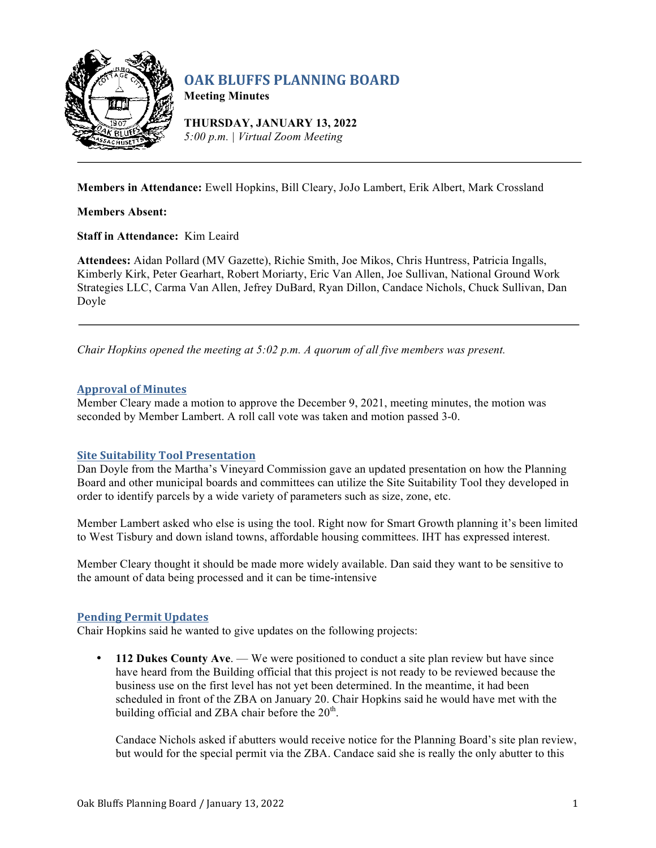

# **OAK BLUFFS PLANNING BOARD**

**Meeting Minutes**

**THURSDAY, JANUARY 13, 2022** *5:00 p.m. | Virtual Zoom Meeting*

**Members in Attendance:** Ewell Hopkins, Bill Cleary, JoJo Lambert, Erik Albert, Mark Crossland

**Members Absent:**

**Staff in Attendance:** Kim Leaird

**Attendees:** Aidan Pollard (MV Gazette), Richie Smith, Joe Mikos, Chris Huntress, Patricia Ingalls, Kimberly Kirk, Peter Gearhart, Robert Moriarty, Eric Van Allen, Joe Sullivan, National Ground Work Strategies LLC, Carma Van Allen, Jefrey DuBard, Ryan Dillon, Candace Nichols, Chuck Sullivan, Dan Doyle

*Chair Hopkins opened the meeting at 5:02 p.m. A quorum of all five members was present.*

## **Approval of Minutes**

Member Cleary made a motion to approve the December 9, 2021, meeting minutes, the motion was seconded by Member Lambert. A roll call vote was taken and motion passed 3-0.

## **Site Suitability Tool Presentation**

Dan Doyle from the Martha's Vineyard Commission gave an updated presentation on how the Planning Board and other municipal boards and committees can utilize the Site Suitability Tool they developed in order to identify parcels by a wide variety of parameters such as size, zone, etc.

Member Lambert asked who else is using the tool. Right now for Smart Growth planning it's been limited to West Tisbury and down island towns, affordable housing committees. IHT has expressed interest.

Member Cleary thought it should be made more widely available. Dan said they want to be sensitive to the amount of data being processed and it can be time-intensive

## **Pending Permit Updates**

Chair Hopkins said he wanted to give updates on the following projects:

• **112 Dukes County Ave**. — We were positioned to conduct a site plan review but have since have heard from the Building official that this project is not ready to be reviewed because the business use on the first level has not yet been determined. In the meantime, it had been scheduled in front of the ZBA on January 20. Chair Hopkins said he would have met with the building official and ZBA chair before the  $20<sup>th</sup>$ .

Candace Nichols asked if abutters would receive notice for the Planning Board's site plan review, but would for the special permit via the ZBA. Candace said she is really the only abutter to this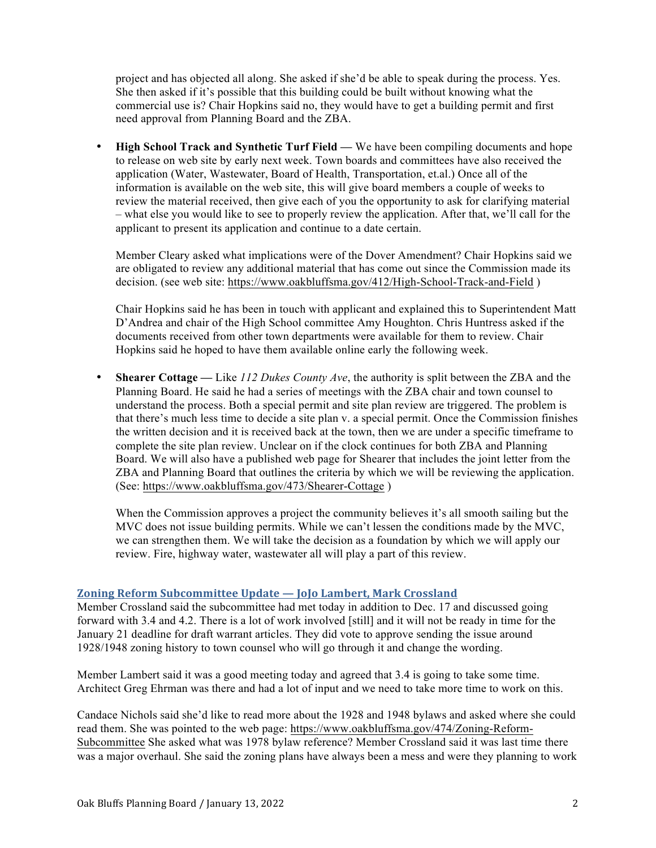project and has objected all along. She asked if she'd be able to speak during the process. Yes. She then asked if it's possible that this building could be built without knowing what the commercial use is? Chair Hopkins said no, they would have to get a building permit and first need approval from Planning Board and the ZBA.

• **High School Track and Synthetic Turf Field —** We have been compiling documents and hope to release on web site by early next week. Town boards and committees have also received the application (Water, Wastewater, Board of Health, Transportation, et.al.) Once all of the information is available on the web site, this will give board members a couple of weeks to review the material received, then give each of you the opportunity to ask for clarifying material – what else you would like to see to properly review the application. After that, we'll call for the applicant to present its application and continue to a date certain.

Member Cleary asked what implications were of the Dover Amendment? Chair Hopkins said we are obligated to review any additional material that has come out since the Commission made its decision. (see web site: https://www.oakbluffsma.gov/412/High-School-Track-and-Field )

Chair Hopkins said he has been in touch with applicant and explained this to Superintendent Matt D'Andrea and chair of the High School committee Amy Houghton. Chris Huntress asked if the documents received from other town departments were available for them to review. Chair Hopkins said he hoped to have them available online early the following week.

• **Shearer Cottage —** Like *112 Dukes County Ave*, the authority is split between the ZBA and the Planning Board. He said he had a series of meetings with the ZBA chair and town counsel to understand the process. Both a special permit and site plan review are triggered. The problem is that there's much less time to decide a site plan v. a special permit. Once the Commission finishes the written decision and it is received back at the town, then we are under a specific timeframe to complete the site plan review. Unclear on if the clock continues for both ZBA and Planning Board. We will also have a published web page for Shearer that includes the joint letter from the ZBA and Planning Board that outlines the criteria by which we will be reviewing the application. (See: https://www.oakbluffsma.gov/473/Shearer-Cottage )

When the Commission approves a project the community believes it's all smooth sailing but the MVC does not issue building permits. While we can't lessen the conditions made by the MVC, we can strengthen them. We will take the decision as a foundation by which we will apply our review. Fire, highway water, wastewater all will play a part of this review.

## **Zoning Reform Subcommittee Update — JoJo Lambert, Mark Crossland**

Member Crossland said the subcommittee had met today in addition to Dec. 17 and discussed going forward with 3.4 and 4.2. There is a lot of work involved [still] and it will not be ready in time for the January 21 deadline for draft warrant articles. They did vote to approve sending the issue around 1928/1948 zoning history to town counsel who will go through it and change the wording.

Member Lambert said it was a good meeting today and agreed that 3.4 is going to take some time. Architect Greg Ehrman was there and had a lot of input and we need to take more time to work on this.

Candace Nichols said she'd like to read more about the 1928 and 1948 bylaws and asked where she could read them. She was pointed to the web page: https://www.oakbluffsma.gov/474/Zoning-Reform-Subcommittee She asked what was 1978 bylaw reference? Member Crossland said it was last time there was a major overhaul. She said the zoning plans have always been a mess and were they planning to work